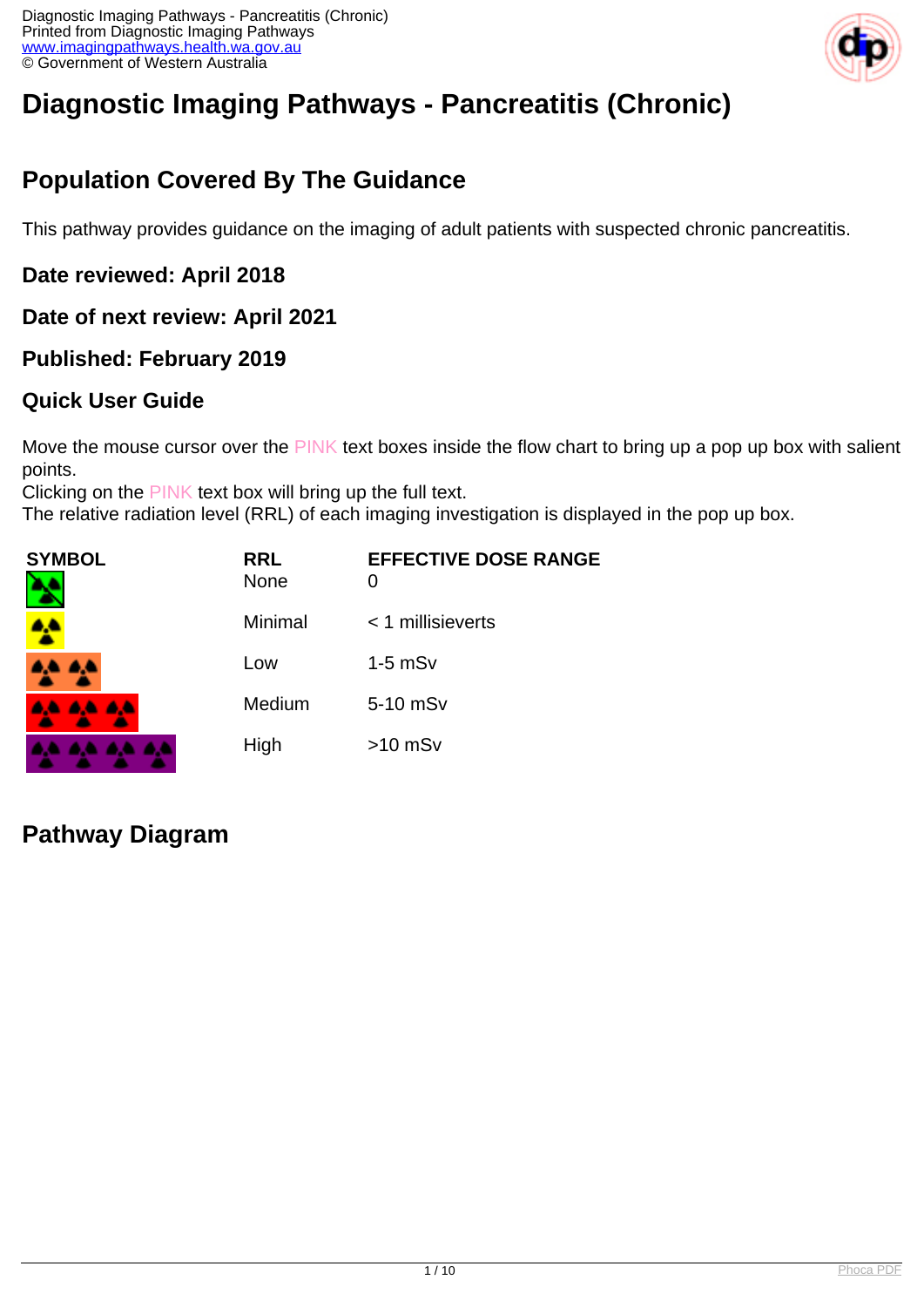

# **Diagnostic Imaging Pathways - Pancreatitis (Chronic)**

# **Population Covered By The Guidance**

This pathway provides guidance on the imaging of adult patients with suspected chronic pancreatitis.

**Date reviewed: April 2018**

**Date of next review: April 2021**

**Published: February 2019**

#### **Quick User Guide**

Move the mouse cursor over the PINK text boxes inside the flow chart to bring up a pop up box with salient points.

Clicking on the PINK text box will bring up the full text.

The relative radiation level (RRL) of each imaging investigation is displayed in the pop up box.

| <b>SYMBOL</b><br>N | <b>RRL</b><br><b>None</b> | <b>EFFECTIVE DOSE RANGE</b><br>0 |
|--------------------|---------------------------|----------------------------------|
|                    | Minimal                   | $<$ 1 millisieverts              |
| 4A 4A              | Low                       | $1-5$ mS $v$                     |
| <b>AA AA AA</b>    | Medium                    | 5-10 mSv                         |
| .<br><b>A</b>      | High                      | $>10$ mSv                        |

#### **Pathway Diagram**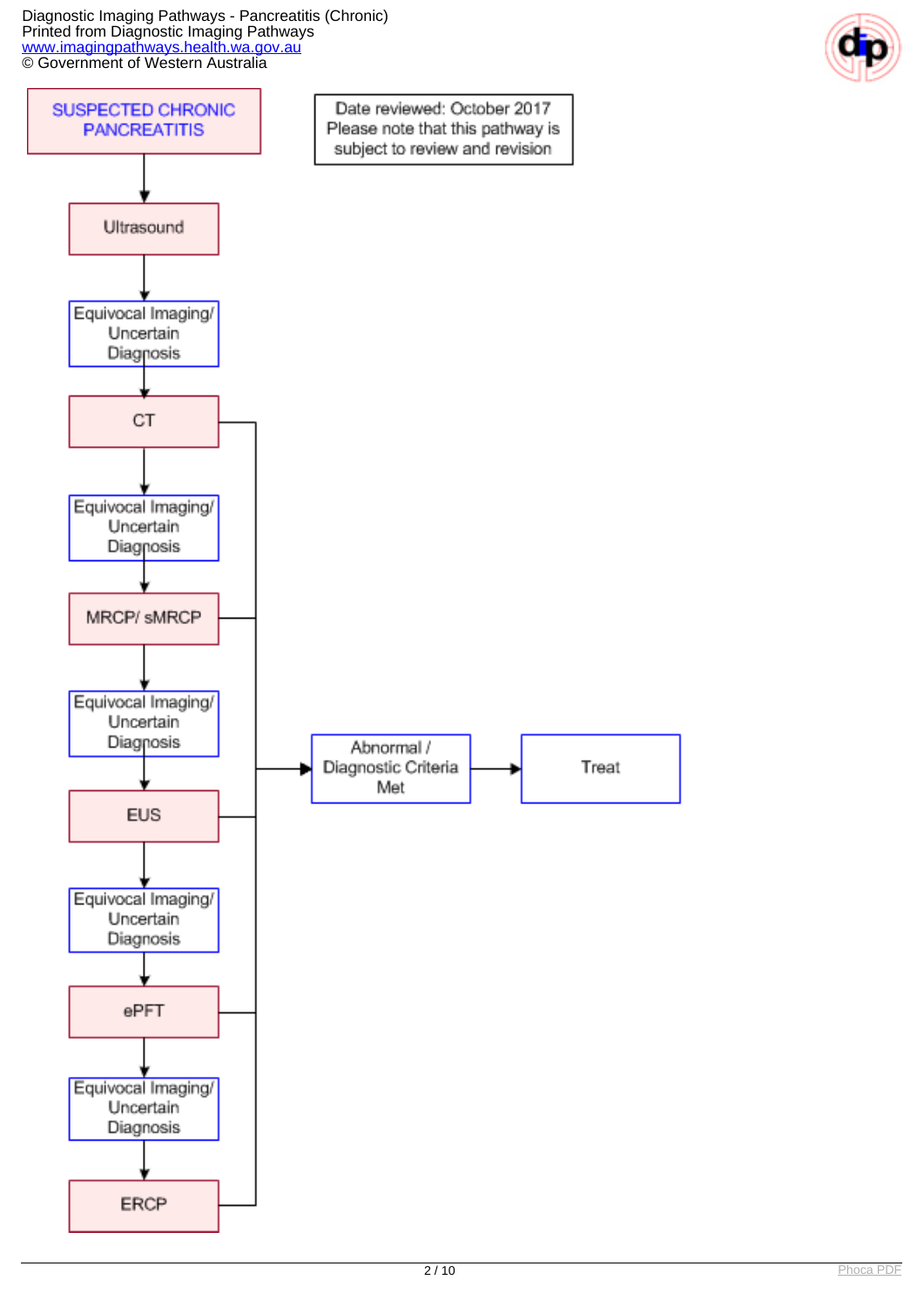Diagnostic Imaging Pathways - Pancreatitis (Chronic) Printed from Diagnostic Imaging Pathways [www.imagingpathways.health.wa.gov.au](http://www.imagingpathways.health.wa.gov.au/) **CO** Government of Western Australia



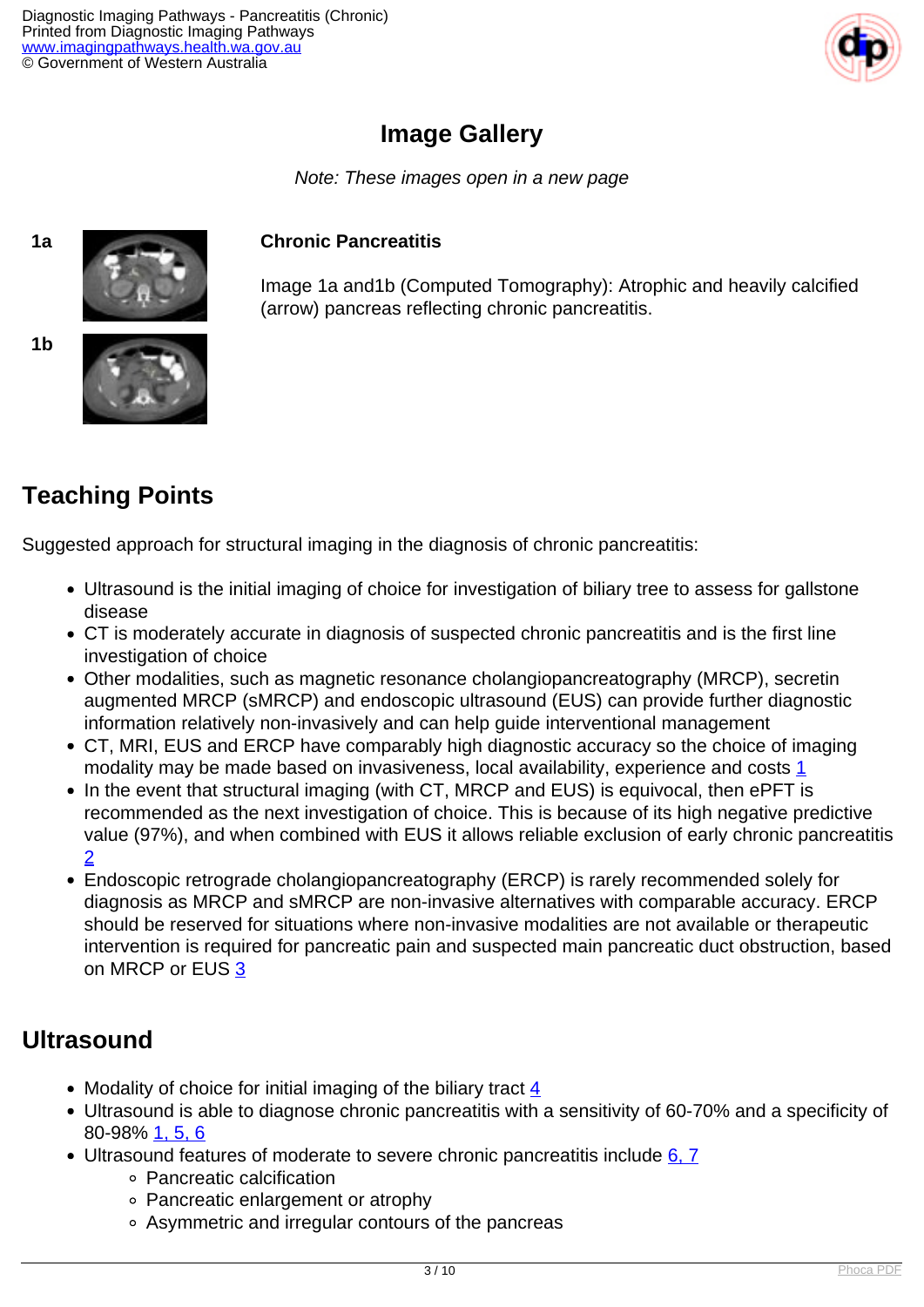

### **Image Gallery**

Note: These images open in a new page

#### **1a Chronic Pancreatitis**

Image 1a and1b (Computed Tomography): Atrophic and heavily calcified (arrow) pancreas reflecting chronic pancreatitis.

**1b**



# **Teaching Points**

Suggested approach for structural imaging in the diagnosis of chronic pancreatitis:

- Ultrasound is the initial imaging of choice for investigation of biliary tree to assess for gallstone disease
- CT is moderately accurate in diagnosis of suspected chronic pancreatitis and is the first line investigation of choice
- Other modalities, such as magnetic resonance cholangiopancreatography (MRCP), secretin augmented MRCP (sMRCP) and endoscopic ultrasound (EUS) can provide further diagnostic information relatively non-invasively and can help guide interventional management
- CT, MRI, EUS and ERCP have comparably high diagnostic accuracy so the choice of imaging modality may be made based on invasiveness, local availability, experience and costs [1](index.php?option=com_content&view=article&id=54&tab=references#1)
- In the event that structural imaging (with CT, MRCP and EUS) is equivocal, then ePFT is recommended as the next investigation of choice. This is because of its high negative predictive value (97%), and when combined with EUS it allows reliable exclusion of early chronic pancreatitis [2](index.php?option=com_content&view=article&id=54&tab=references#2)
- Endoscopic retrograde cholangiopancreatography (ERCP) is rarely recommended solely for diagnosis as MRCP and sMRCP are non-invasive alternatives with comparable accuracy. ERCP should be reserved for situations where non-invasive modalities are not available or therapeutic intervention is required for pancreatic pain and suspected main pancreatic duct obstruction, based on MRCP or EUS [3](index.php?option=com_content&view=article&id=54&tab=references#3)

### **Ultrasound**

- Modality of choice for initial imaging of the biliary tract  $\frac{4}{5}$  $\frac{4}{5}$  $\frac{4}{5}$
- Ultrasound is able to diagnose chronic pancreatitis with a sensitivity of 60-70% and a specificity of 80-98% [1,](index.php?option=com_content&view=article&id=54&tab=references#1) [5,](index.php?option=com_content&view=article&id=54&tab=references#5) [6](index.php?option=com_content&view=article&id=54&tab=references#6)
- Ultrasound features of moderate to severe chronic pancreatitis include [6,](index.php?option=com_content&view=article&id=54&tab=references#6) [7](index.php?option=com_content&view=article&id=54&tab=references#7)
	- Pancreatic calcification
	- Pancreatic enlargement or atrophy
	- Asymmetric and irregular contours of the pancreas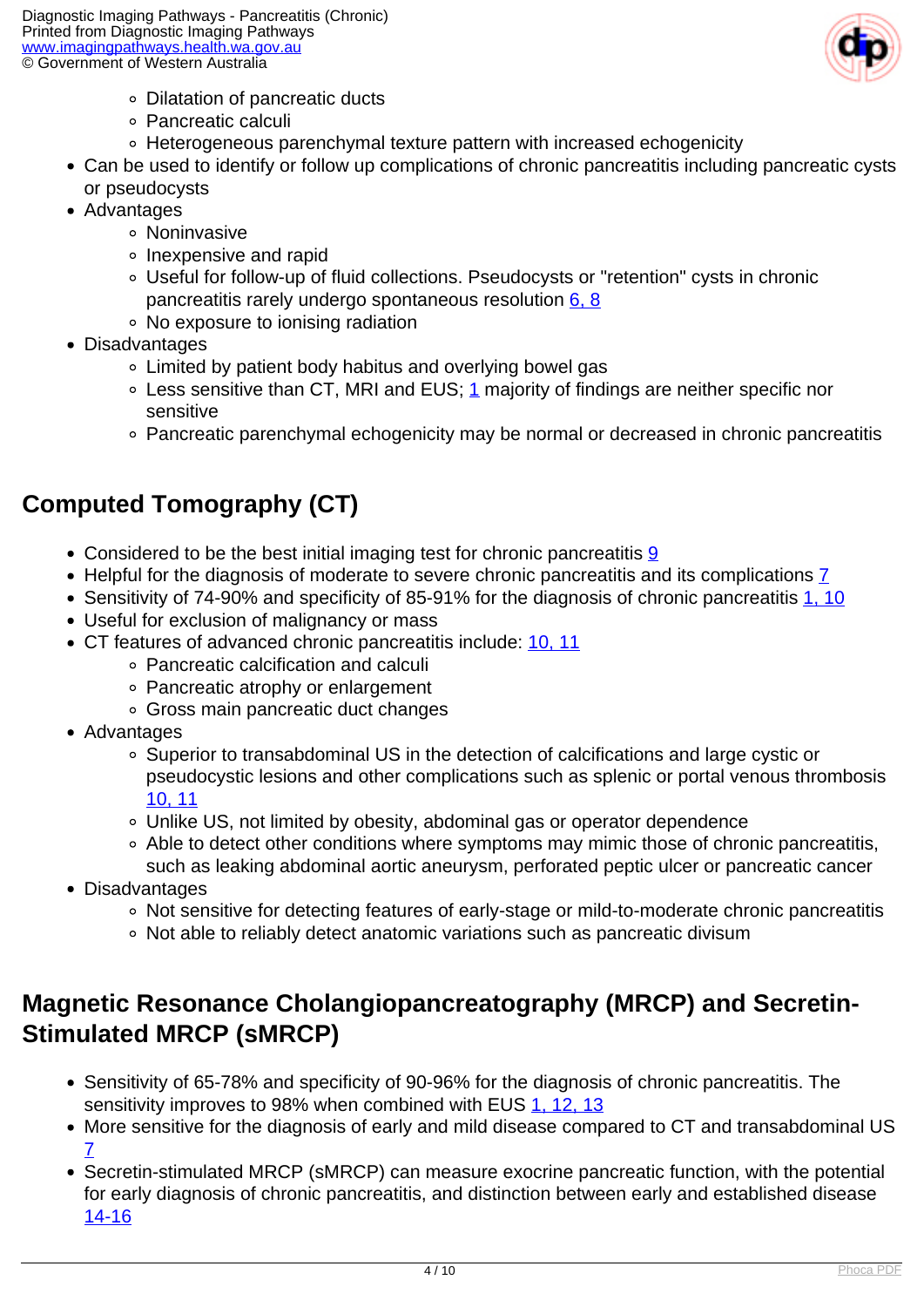

- Dilatation of pancreatic ducts
- Pancreatic calculi
- Heterogeneous parenchymal texture pattern with increased echogenicity
- Can be used to identify or follow up complications of chronic pancreatitis including pancreatic cysts or pseudocysts
- Advantages
	- **o** Noninvasive
	- Inexpensive and rapid
	- Useful for follow-up of fluid collections. Pseudocysts or "retention" cysts in chronic pancreatitis rarely undergo spontaneous resolution [6,](index.php?option=com_content&view=article&id=54&tab=references#6) [8](index.php?option=com_content&view=article&id=54&tab=references#8)
	- No exposure to ionising radiation
- Disadvantages
	- Limited by patient body habitus and overlying bowel gas
	- $\circ$  Less sensitive than CT, MRI and EUS; [1](index.php?option=com_content&view=article&id=54&tab=references#1) majority of findings are neither specific nor sensitive
	- Pancreatic parenchymal echogenicity may be normal or decreased in chronic pancreatitis

# **Computed Tomography (CT)**

- Considered to be the best initial imaging test for chronic pancreatitis [9](index.php?option=com_content&view=article&id=54&tab=references#9)
- Helpful for the diagnosis of moderate to severe chronic pancreatitis and its complications [7](index.php?option=com_content&view=article&id=54&tab=references#7)
- Sensitivity of 74-90% and specificity of 85-91% for the diagnosis of chronic pancreatitis [1,](index.php?option=com_content&view=article&id=54&tab=references#1) [10](index.php?option=com_content&view=article&id=54&tab=references#10)
- Useful for exclusion of malignancy or mass
- CT features of advanced chronic pancreatitis include: [10,](index.php?option=com_content&view=article&id=54&tab=references#10) [11](index.php?option=com_content&view=article&id=54&tab=references#11)
	- Pancreatic calcification and calculi
	- Pancreatic atrophy or enlargement
	- Gross main pancreatic duct changes
- Advantages
	- Superior to transabdominal US in the detection of calcifications and large cystic or pseudocystic lesions and other complications such as splenic or portal venous thrombosis [10,](index.php?option=com_content&view=article&id=54&tab=references#10) [11](index.php?option=com_content&view=article&id=54&tab=references#11)
	- Unlike US, not limited by obesity, abdominal gas or operator dependence
	- Able to detect other conditions where symptoms may mimic those of chronic pancreatitis, such as leaking abdominal aortic aneurysm, perforated peptic ulcer or pancreatic cancer
- Disadvantages
	- Not sensitive for detecting features of early-stage or mild-to-moderate chronic pancreatitis
	- Not able to reliably detect anatomic variations such as pancreatic divisum

### **Magnetic Resonance Cholangiopancreatography (MRCP) and Secretin-Stimulated MRCP (sMRCP)**

- Sensitivity of 65-78% and specificity of 90-96% for the diagnosis of chronic pancreatitis. The sensitivity improves to 98% when combined with EUS [1,](index.php?option=com_content&view=article&id=54&tab=references#1) [12,](index.php?option=com_content&view=article&id=54&tab=references#12) [13](index.php?option=com_content&view=article&id=54&tab=references#13)
- More sensitive for the diagnosis of early and mild disease compared to CT and transabdominal US [7](index.php?option=com_content&view=article&id=54&tab=references#7)
- Secretin-stimulated MRCP (sMRCP) can measure exocrine pancreatic function, with the potential for early diagnosis of chronic pancreatitis, and distinction between early and established disease [14-16](index.php?option=com_content&view=article&id=54&tab=references#14)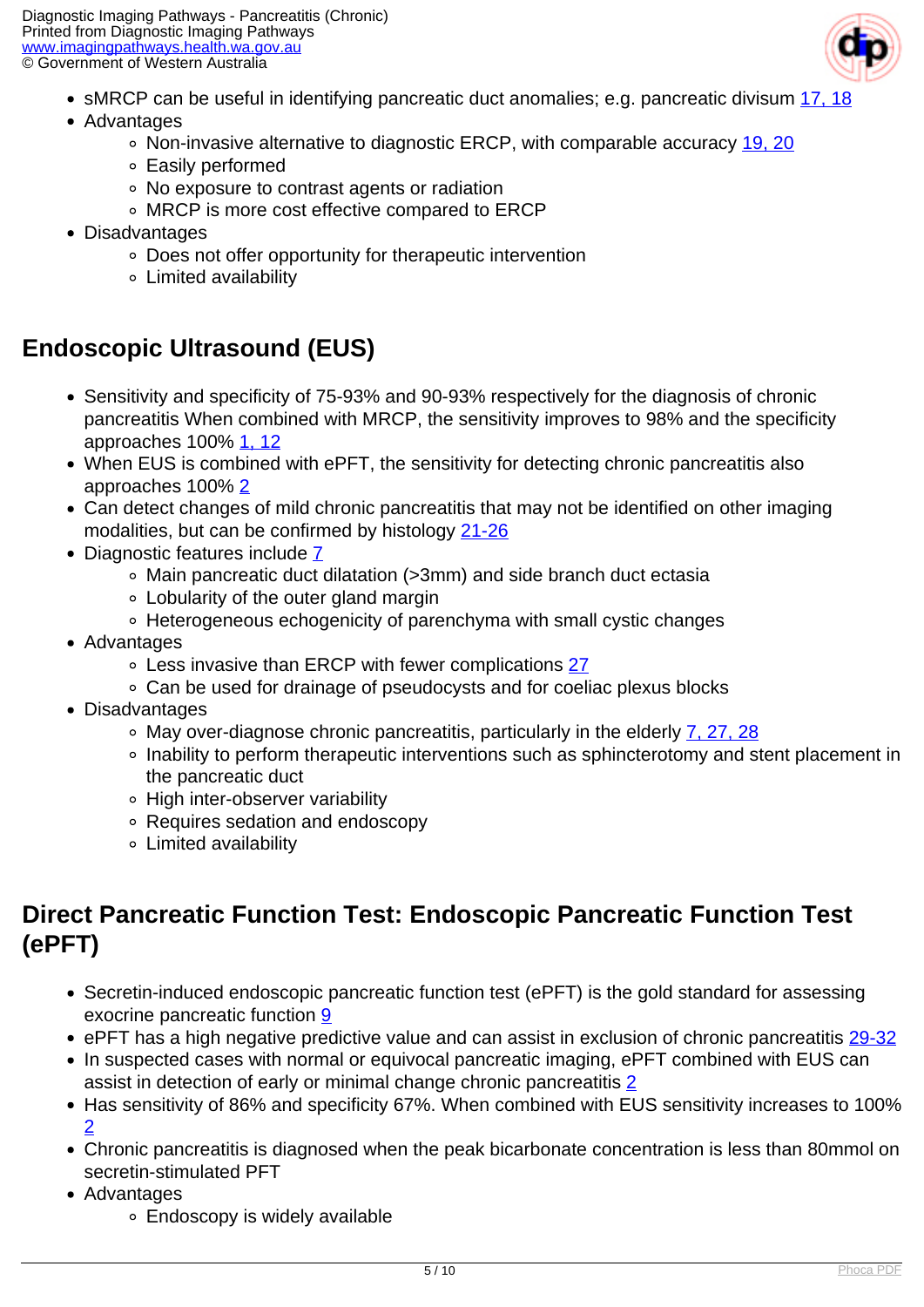

- sMRCP can be useful in identifying pancreatic duct anomalies; e.g. pancreatic divisum [17,](index.php?option=com_content&view=article&id=54&tab=references#17) [18](index.php?option=com_content&view=article&id=54&tab=references#18)
- Advantages
	- o Non-invasive alternative to diagnostic ERCP, with comparable accuracy [19,](index.php?option=com_content&view=article&id=54&tab=references#19) [20](index.php?option=com_content&view=article&id=54&tab=references#20)
	- Easily performed
	- No exposure to contrast agents or radiation
	- MRCP is more cost effective compared to ERCP
- Disadvantages
	- Does not offer opportunity for therapeutic intervention
	- Limited availability

## **Endoscopic Ultrasound (EUS)**

- Sensitivity and specificity of 75-93% and 90-93% respectively for the diagnosis of chronic pancreatitis When combined with MRCP, the sensitivity improves to 98% and the specificity approaches 100% [1,](index.php?option=com_content&view=article&id=54&tab=references#1) [12](index.php?option=com_content&view=article&id=54&tab=references#12)
- When EUS is combined with ePFT, the sensitivity for detecting chronic pancreatitis also approaches 100% [2](index.php?option=com_content&view=article&id=54&tab=references#2)
- Can detect changes of mild chronic pancreatitis that may not be identified on other imaging modalities, but can be confirmed by histology [21-26](index.php?option=com_content&view=article&id=54&tab=references#21)
- Diagnostic features include Z
	- Main pancreatic duct dilatation (>3mm) and side branch duct ectasia
	- Lobularity of the outer gland margin
	- Heterogeneous echogenicity of parenchyma with small cystic changes
- Advantages
	- Less invasive than ERCP with fewer complications [27](index.php?option=com_content&view=article&id=54&tab=references#27)
	- Can be used for drainage of pseudocysts and for coeliac plexus blocks
- Disadvantages
	- $\circ$  May over-diagnose chronic pancreatitis, particularly in the elderly  $\frac{7}{27}$ , [28](index.php?option=com_content&view=article&id=54&tab=references#28)
	- Inability to perform therapeutic interventions such as sphincterotomy and stent placement in the pancreatic duct
	- High inter-observer variability
	- Requires sedation and endoscopy
	- Limited availability

### **Direct Pancreatic Function Test: Endoscopic Pancreatic Function Test (ePFT)**

- Secretin-induced endoscopic pancreatic function test (ePFT) is the gold standard for assessing exocrine pancreatic function [9](index.php?option=com_content&view=article&id=54&tab=references#9)
- ePFT has a high negative predictive value and can assist in exclusion of chronic pancreatitis [29-32](index.php?option=com_content&view=article&id=54&tab=references#29)
- In suspected cases with normal or equivocal pancreatic imaging, ePFT combined with EUS can assist in detection of early or minimal change chronic pancreatitis [2](index.php?option=com_content&view=article&id=54&tab=references#2)
- Has sensitivity of 86% and specificity 67%. When combined with EUS sensitivity increases to 100% [2](index.php?option=com_content&view=article&id=54&tab=references#2)
- Chronic pancreatitis is diagnosed when the peak bicarbonate concentration is less than 80mmol on secretin-stimulated PFT
- Advantages
	- Endoscopy is widely available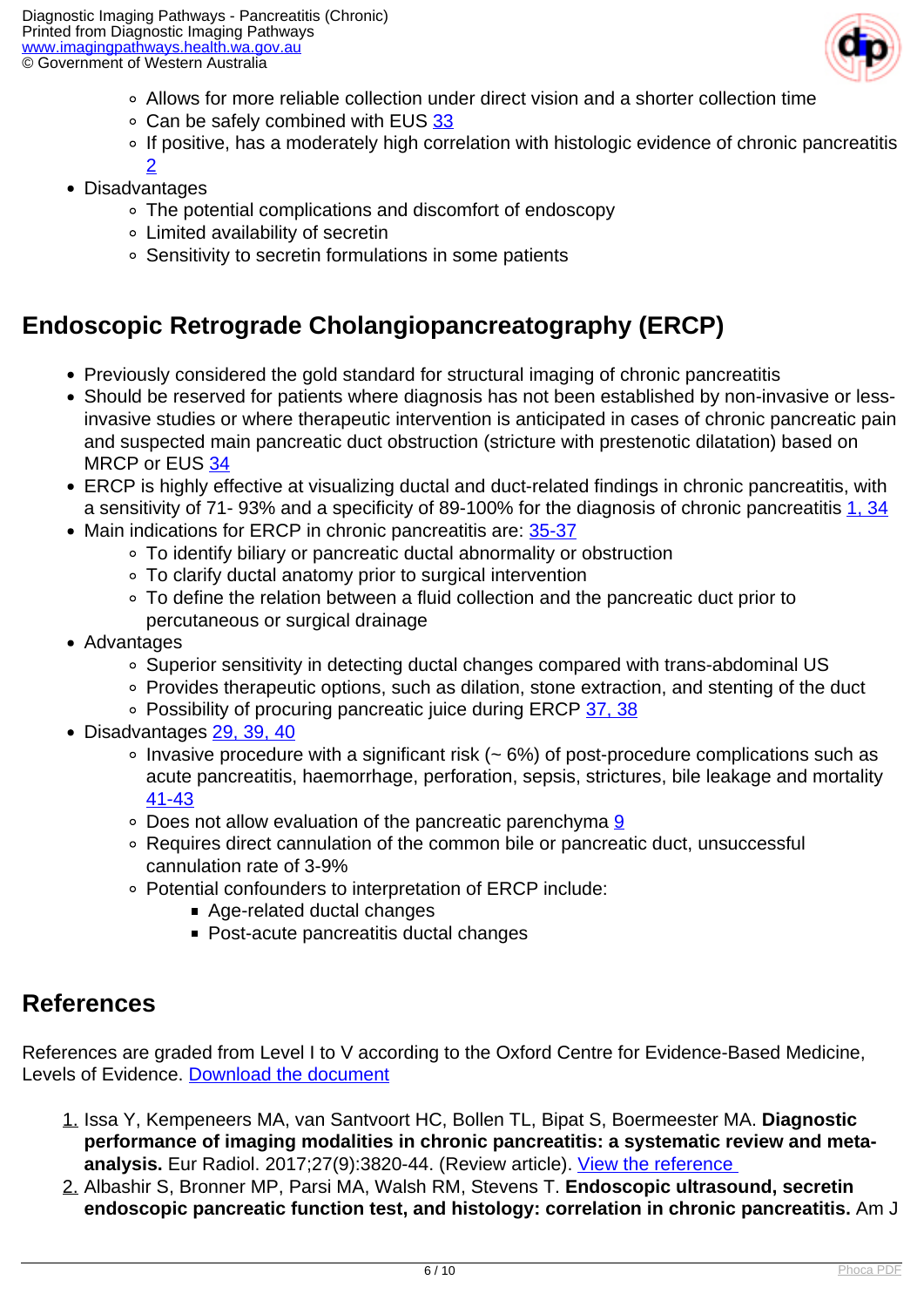

- Allows for more reliable collection under direct vision and a shorter collection time
- Can be safely combined with EUS [33](index.php?option=com_content&view=article&id=54&tab=references#33)
- o If positive, has a moderately high correlation with histologic evidence of chronic pancreatitis
- [2](index.php?option=com_content&view=article&id=54&tab=references#2) Disadvantages
	- The potential complications and discomfort of endoscopy
	- Limited availability of secretin
	- Sensitivity to secretin formulations in some patients

### **Endoscopic Retrograde Cholangiopancreatography (ERCP)**

- Previously considered the gold standard for structural imaging of chronic pancreatitis
- Should be reserved for patients where diagnosis has not been established by non-invasive or lessinvasive studies or where therapeutic intervention is anticipated in cases of chronic pancreatic pain and suspected main pancreatic duct obstruction (stricture with prestenotic dilatation) based on MRCP or EUS [34](index.php?option=com_content&view=article&id=54&tab=references#34)
- ERCP is highly effective at visualizing ductal and duct-related findings in chronic pancreatitis, with a sensitivity of 71- 93% and a specificity of 89-100% for the diagnosis of chronic pancreatitis [1,](index.php?option=com_content&view=article&id=54&tab=references#1) [34](index.php?option=com_content&view=article&id=54&tab=references#34)
- Main indications for ERCP in chronic pancreatitis are: [35-37](index.php?option=com_content&view=article&id=54&tab=references#35)
	- To identify biliary or pancreatic ductal abnormality or obstruction
	- To clarify ductal anatomy prior to surgical intervention
	- To define the relation between a fluid collection and the pancreatic duct prior to percutaneous or surgical drainage
- Advantages
	- Superior sensitivity in detecting ductal changes compared with trans-abdominal US
	- Provides therapeutic options, such as dilation, stone extraction, and stenting of the duct
	- Possibility of procuring pancreatic juice during ERCP [37,](index.php?option=com_content&view=article&id=54&tab=references#37) [38](index.php?option=com_content&view=article&id=54&tab=references#38)
- Disadvantages [29,](index.php?option=com_content&view=article&id=54&tab=references#29) [39,](index.php?option=com_content&view=article&id=54&tab=references#39) [40](index.php?option=com_content&view=article&id=54&tab=references#40)
	- $\circ$  Invasive procedure with a significant risk ( $\sim$  6%) of post-procedure complications such as acute pancreatitis, haemorrhage, perforation, sepsis, strictures, bile leakage and mortality [41-43](index.php?option=com_content&view=article&id=54&tab=references#41)
	- Does not allow evaluation of the pancreatic parenchyma [9](index.php?option=com_content&view=article&id=54&tab=references#9)
	- Requires direct cannulation of the common bile or pancreatic duct, unsuccessful cannulation rate of 3-9%
	- Potential confounders to interpretation of ERCP include:
		- Age-related ductal changes
		- Post-acute pancreatitis ductal changes

#### **References**

References are graded from Level I to V according to the Oxford Centre for Evidence-Based Medicine, Levels of Evidence. [Download the document](http://www.cebm.net/wp-content/uploads/2014/06/CEBM-Levels-of-Evidence-2.1.pdf)

- 1. Issa Y, Kempeneers MA, van Santvoort HC, Bollen TL, Bipat S, Boermeester MA. **Diagnostic performance of imaging modalities in chronic pancreatitis: a systematic review and metaanalysis.** Eur Radiol. 2017;27(9):3820-44. (Review article). [View the reference](http://www.ncbi.nlm.nih.gov/pmc/articles/PMC5544812/)
- 2. Albashir S, Bronner MP, Parsi MA, Walsh RM, Stevens T. **Endoscopic ultrasound, secretin endoscopic pancreatic function test, and histology: correlation in chronic pancreatitis.** Am J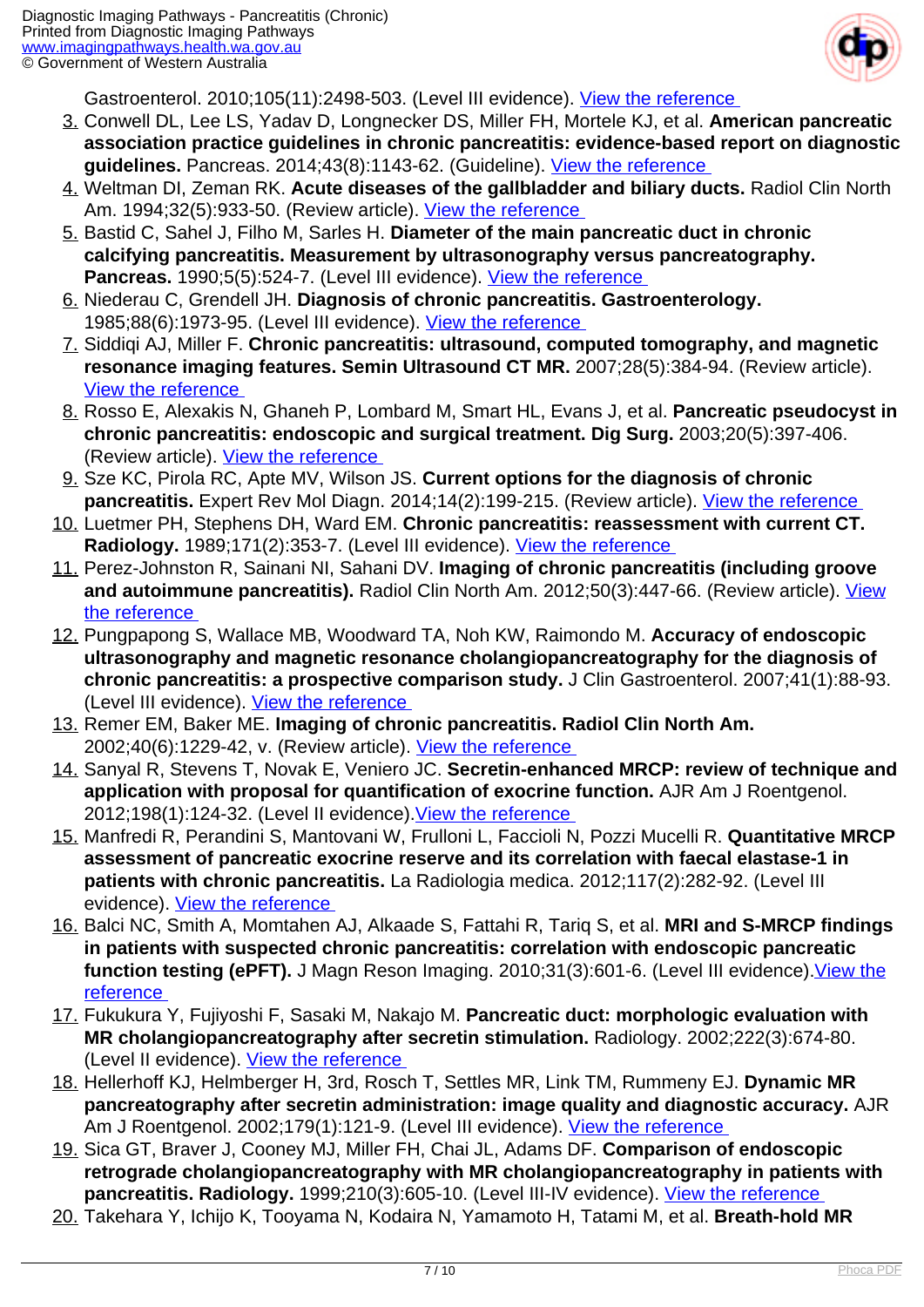

Gastroenterol. 2010;105(11):2498-503. (Level III evidence). [View the reference](https://www.ncbi.nlm.nih.gov/pubmed/20606675) 

- 3. Conwell DL, Lee LS, Yadav D, Longnecker DS, Miller FH, Mortele KJ, et al. **American pancreatic association practice guidelines in chronic pancreatitis: evidence-based report on diagnostic guidelines.** Pancreas. 2014;43(8):1143-62. (Guideline). [View the reference](https://www.ncbi.nlm.nih.gov/pubmed/25333398)
- 4. Weltman DI, Zeman RK. **Acute diseases of the gallbladder and biliary ducts.** Radiol Clin North Am. 1994;32(5):933-50. (Review article). View the reference
- 5. Bastid C, Sahel J, Filho M, Sarles H. **Diameter of the main pancreatic duct in chronic calcifying pancreatitis. Measurement by ultrasonography versus pancreatography. Pancreas.** 1990;5(5):524-7. (Level III evidence). [View the reference](https://www.ncbi.nlm.nih.gov/pubmed/2235964)
- 6. Niederau C, Grendell JH. **Diagnosis of chronic pancreatitis. Gastroenterology.** 1985;88(6):1973-95. (Level III evidence). View the reference
- 7. Siddiqi AJ, Miller F. **Chronic pancreatitis: ultrasound, computed tomography, and magnetic resonance imaging features. Semin Ultrasound CT MR.** 2007;28(5):384-94. (Review article). [View the reference](https://www.ncbi.nlm.nih.gov/pubmed/17970554)
- 8. Rosso E, Alexakis N, Ghaneh P, Lombard M, Smart HL, Evans J, et al. **Pancreatic pseudocyst in chronic pancreatitis: endoscopic and surgical treatment. Dig Surg.** 2003;20(5):397-406. (Review article). [View the reference](https://www.ncbi.nlm.nih.gov/pubmed/12900529)
- 9. Sze KC, Pirola RC, Apte MV, Wilson JS. **Current options for the diagnosis of chronic pancreatitis.** Expert Rev Mol Diagn. 2014;14(2):199-215. (Review article). [View the reference](https://www.ncbi.nlm.nih.gov/pubmed/24512138)
- 10. Luetmer PH, Stephens DH, Ward EM. **Chronic pancreatitis: reassessment with current CT.** Radiology. 1989;171(2):353-7. (Level III evidence). View the reference
- 11. Perez-Johnston R, Sainani NI, Sahani DV. **Imaging of chronic pancreatitis (including groove and autoimmune pancreatitis).** Radiol Clin North Am. 2012;50(3):447-66. (Review article). [View](https://www.ncbi.nlm.nih.gov/pubmed/22560691) [the reference](https://www.ncbi.nlm.nih.gov/pubmed/22560691)
- 12. Pungpapong S, Wallace MB, Woodward TA, Noh KW, Raimondo M. **Accuracy of endoscopic ultrasonography and magnetic resonance cholangiopancreatography for the diagnosis of chronic pancreatitis: a prospective comparison study.** J Clin Gastroenterol. 2007;41(1):88-93. (Level III evidence). View the reference
- 13. Remer EM, Baker ME. **Imaging of chronic pancreatitis. Radiol Clin North Am.** 2002;40(6):1229-42, v. (Review article). [View the reference](https://www.ncbi.nlm.nih.gov/pubmed/12479708)
- 14. Sanyal R, Stevens T, Novak E, Veniero JC. **Secretin-enhanced MRCP: review of technique and application with proposal for quantification of exocrine function.** AJR Am J Roentgenol. 2012;198(1):124-32. (Level II evidence).[View the reference](https://www.ncbi.nlm.nih.gov/pubmed/22194487)
- 15. Manfredi R, Perandini S, Mantovani W, Frulloni L, Faccioli N, Pozzi Mucelli R. **Quantitative MRCP assessment of pancreatic exocrine reserve and its correlation with faecal elastase-1 in patients with chronic pancreatitis.** La Radiologia medica. 2012;117(2):282-92. (Level III evidence). [View the reference](https://www.ncbi.nlm.nih.gov/pubmed/22231574)
- 16. Balci NC, Smith A, Momtahen AJ, Alkaade S, Fattahi R, Tariq S, et al. **MRI and S-MRCP findings in patients with suspected chronic pancreatitis: correlation with endoscopic pancreatic function testing (ePFT).** J Magn Reson Imaging. 2010;31(3):601-6. (Level III evidence). View the [reference](https://www.ncbi.nlm.nih.gov/pubmed/20187202)
- 17. Fukukura Y, Fujiyoshi F, Sasaki M, Nakajo M. **Pancreatic duct: morphologic evaluation with MR cholangiopancreatography after secretin stimulation.** Radiology. 2002;222(3):674-80. (Level II evidence). [View the reference](https://www.ncbi.nlm.nih.gov/pubmed/11867784)
- 18. Hellerhoff KJ, Helmberger H, 3rd, Rosch T, Settles MR, Link TM, Rummeny EJ. **Dynamic MR pancreatography after secretin administration: image quality and diagnostic accuracy.** AJR Am J Roentgenol. 2002;179(1):121-9. (Level III evidence). [View the reference](https://www.ncbi.nlm.nih.gov/pubmed/12076919)
- 19. Sica GT, Braver J, Cooney MJ, Miller FH, Chai JL, Adams DF. **Comparison of endoscopic retrograde cholangiopancreatography with MR cholangiopancreatography in patients with pancreatitis. Radiology.** 1999;210(3):605-10. (Level III-IV evidence). [View the reference](https://www.ncbi.nlm.nih.gov/pubmed/10207456)
- 20. Takehara Y, Ichijo K, Tooyama N, Kodaira N, Yamamoto H, Tatami M, et al. **Breath-hold MR**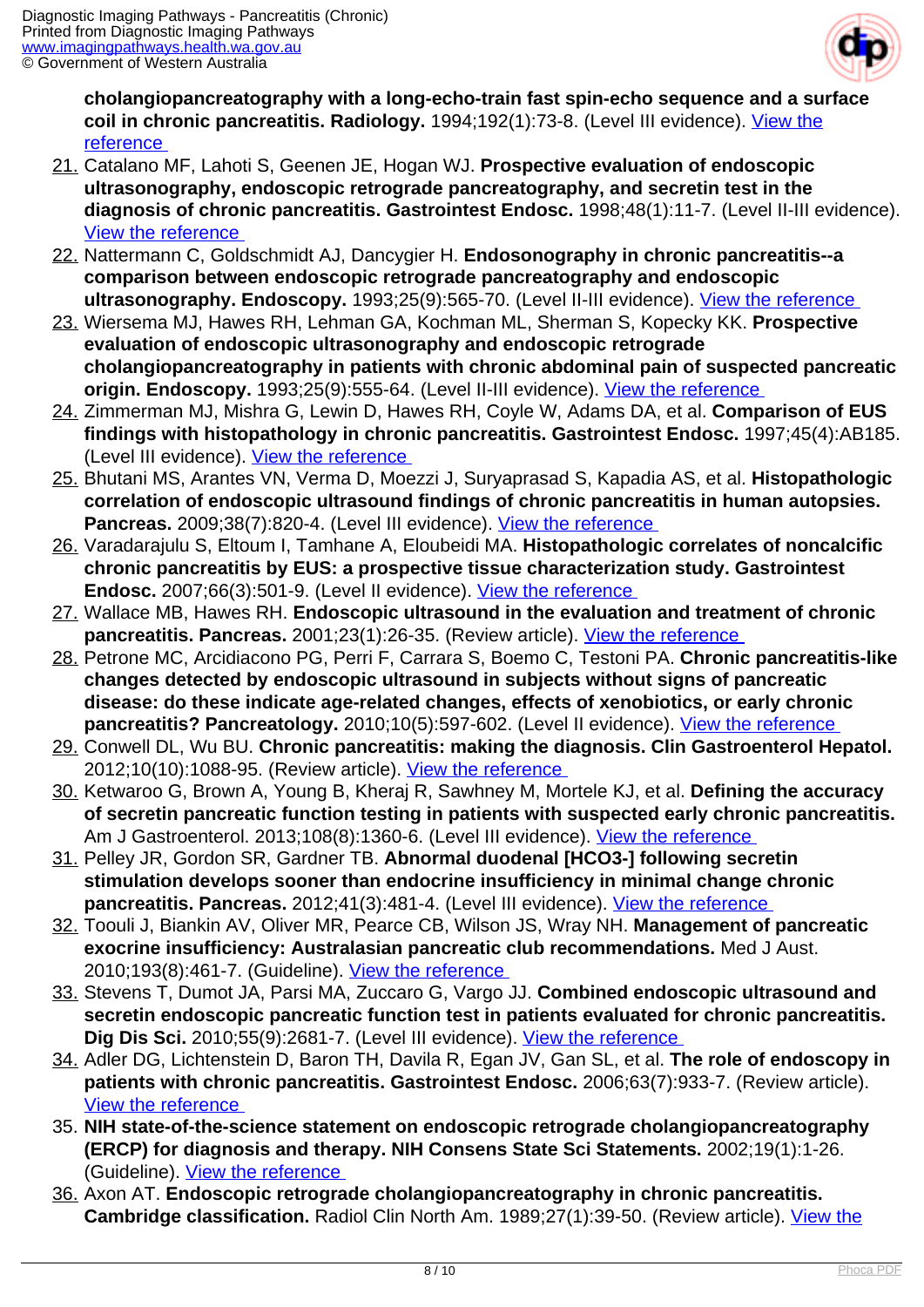

**cholangiopancreatography with a long-echo-train fast spin-echo sequence and a surface coil in chronic pancreatitis. Radiology.** 1994;192(1):73-8. (Level III evidence). [View the](https://www.ncbi.nlm.nih.gov/pubmed/8208969) **reference** 

- 21. Catalano MF, Lahoti S, Geenen JE, Hogan WJ. **Prospective evaluation of endoscopic ultrasonography, endoscopic retrograde pancreatography, and secretin test in the diagnosis of chronic pancreatitis. Gastrointest Endosc.** 1998;48(1):11-7. (Level II-III evidence). [View the reference](https://www.ncbi.nlm.nih.gov/pubmed/9684658)
- 22. Nattermann C, Goldschmidt AJ, Dancygier H. **Endosonography in chronic pancreatitis--a comparison between endoscopic retrograde pancreatography and endoscopic ultrasonography. Endoscopy.** 1993;25(9):565-70. (Level II-III evidence). [View the reference](https://www.ncbi.nlm.nih.gov/pubmed/8119205)
- 23. Wiersema MJ, Hawes RH, Lehman GA, Kochman ML, Sherman S, Kopecky KK. **Prospective evaluation of endoscopic ultrasonography and endoscopic retrograde cholangiopancreatography in patients with chronic abdominal pain of suspected pancreatic origin. Endoscopy.** 1993;25(9):555-64. (Level II-III evidence). [View the reference](https://www.ncbi.nlm.nih.gov/pubmed/8119204)
- 24. Zimmerman MJ, Mishra G, Lewin D, Hawes RH, Coyle W, Adams DA, et al. **Comparison of EUS findings with histopathology in chronic pancreatitis. Gastrointest Endosc.** 1997;45(4):AB185. (Level III evidence). [View the reference](http://dx.doi.org/10.1016/S0016-5107(97)80642-6)
- 25. Bhutani MS, Arantes VN, Verma D, Moezzi J, Suryaprasad S, Kapadia AS, et al. **Histopathologic correlation of endoscopic ultrasound findings of chronic pancreatitis in human autopsies. Pancreas.** 2009;38(7):820-4. (Level III evidence). [View the reference](https://www.ncbi.nlm.nih.gov/pubmed/19657310)
- 26. Varadarajulu S, Eltoum I, Tamhane A, Eloubeidi MA. **Histopathologic correlates of noncalcific chronic pancreatitis by EUS: a prospective tissue characterization study. Gastrointest Endosc.** 2007;66(3):501-9. (Level II evidence). [View the reference](https://www.ncbi.nlm.nih.gov/pubmed/17640639)
- 27. Wallace MB, Hawes RH. **Endoscopic ultrasound in the evaluation and treatment of chronic** pancreatitis. Pancreas. 2001;23(1):26-35. (Review article). View the reference
- 28. Petrone MC, Arcidiacono PG, Perri F, Carrara S, Boemo C, Testoni PA. **Chronic pancreatitis-like changes detected by endoscopic ultrasound in subjects without signs of pancreatic disease: do these indicate age-related changes, effects of xenobiotics, or early chronic pancreatitis? Pancreatology.** 2010;10(5):597-602. (Level II evidence). [View the reference](https://www.ncbi.nlm.nih.gov/pubmed/20980777)
- 29. Conwell DL, Wu BU. **Chronic pancreatitis: making the diagnosis. Clin Gastroenterol Hepatol.** 2012;10(10):1088-95. (Review article). [View the reference](https://www.ncbi.nlm.nih.gov/pubmed/22642958)
- 30. Ketwaroo G, Brown A, Young B, Kheraj R, Sawhney M, Mortele KJ, et al. **Defining the accuracy of secretin pancreatic function testing in patients with suspected early chronic pancreatitis.** Am J Gastroenterol. 2013;108(8):1360-6. (Level III evidence). View the reference
- 31. Pelley JR, Gordon SR, Gardner TB. **Abnormal duodenal [HCO3-] following secretin stimulation develops sooner than endocrine insufficiency in minimal change chronic pancreatitis. Pancreas.** 2012;41(3):481-4. (Level III evidence). [View the reference](https://www.ncbi.nlm.nih.gov/pubmed/22228105)
- 32. Toouli J, Biankin AV, Oliver MR, Pearce CB, Wilson JS, Wray NH. **Management of pancreatic exocrine insufficiency: Australasian pancreatic club recommendations.** Med J Aust. 2010;193(8):461-7. (Guideline). [View the reference](https://www.ncbi.nlm.nih.gov/pubmed/20955123)
- 33. Stevens T, Dumot JA, Parsi MA, Zuccaro G, Vargo JJ. **Combined endoscopic ultrasound and secretin endoscopic pancreatic function test in patients evaluated for chronic pancreatitis. Dig Dis Sci.** 2010;55(9):2681-7. (Level III evidence). *View the reference*
- 34. Adler DG, Lichtenstein D, Baron TH, Davila R, Egan JV, Gan SL, et al. **The role of endoscopy in patients with chronic pancreatitis. Gastrointest Endosc.** 2006;63(7):933-7. (Review article). [View the reference](https://www.ncbi.nlm.nih.gov/pubmed/16733106)
- 35. **NIH state-of-the-science statement on endoscopic retrograde cholangiopancreatography (ERCP) for diagnosis and therapy. NIH Consens State Sci Statements.** 2002;19(1):1-26. (Guideline). [View the reference](https://www.ncbi.nlm.nih.gov/pubmed/14768653)
- 36. Axon AT. **Endoscopic retrograde cholangiopancreatography in chronic pancreatitis. Cambridge classification.** Radiol Clin North Am. 1989;27(1):39-50. (Review article). [View the](https://www.ncbi.nlm.nih.gov/pubmed/2642274)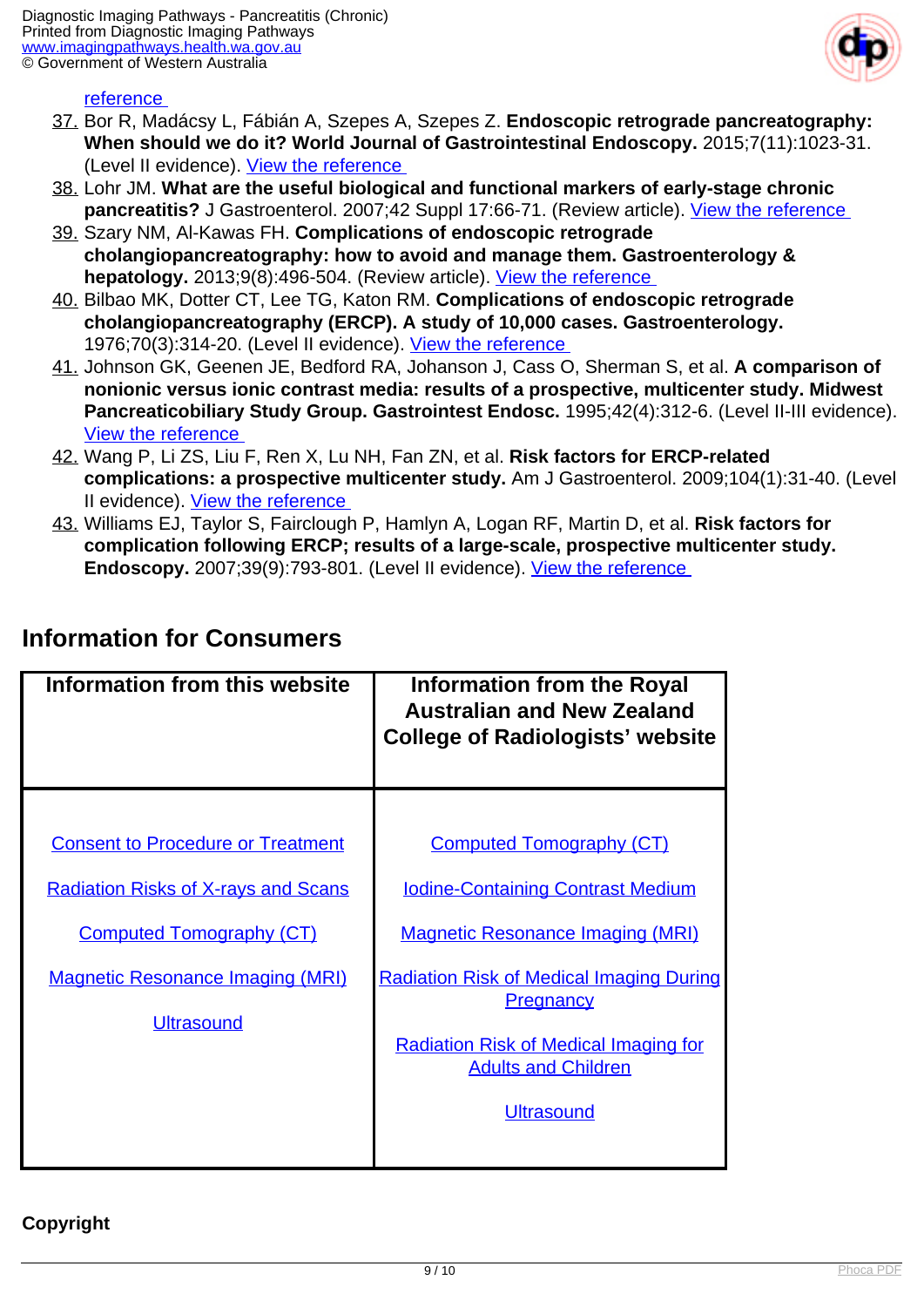

#### reference

- 37. Bor R, Madácsy L, Fábián A, Szepes A, Szepes Z. **Endoscopic retrograde pancreatography: When should we do it? World Journal of Gastrointestinal Endoscopy.** 2015;7(11):1023-31. (Level II evidence). [View the reference](http://www.ncbi.nlm.nih.gov/pmc/articles/PMC4549659/)
- 38. Lohr JM. **What are the useful biological and functional markers of early-stage chronic pancreatitis?** J Gastroenterol. 2007;42 Suppl 17:66-71. (Review article). View the reference
- 39. Szary NM, Al-Kawas FH. **Complications of endoscopic retrograde cholangiopancreatography: how to avoid and manage them. Gastroenterology & hepatology.** 2013;9(8):496-504. (Review article). [View the reference](https://www.ncbi.nlm.nih.gov/pubmed/24719597)
- 40. Bilbao MK, Dotter CT, Lee TG, Katon RM. **Complications of endoscopic retrograde cholangiopancreatography (ERCP). A study of 10,000 cases. Gastroenterology.** 1976;70(3):314-20. (Level II evidence). [View the reference](https://www.ncbi.nlm.nih.gov/pubmed/1248697)
- 41. Johnson GK, Geenen JE, Bedford RA, Johanson J, Cass O, Sherman S, et al. **A comparison of nonionic versus ionic contrast media: results of a prospective, multicenter study. Midwest Pancreaticobiliary Study Group. Gastrointest Endosc.** 1995;42(4):312-6. (Level II-III evidence). [View the reference](https://www.ncbi.nlm.nih.gov/pubmed/8536898)
- 42. Wang P, Li ZS, Liu F, Ren X, Lu NH, Fan ZN, et al. **Risk factors for ERCP-related complications: a prospective multicenter study.** Am J Gastroenterol. 2009;104(1):31-40. (Level II evidence). [View the reference](https://www.ncbi.nlm.nih.gov/pubmed/19098846)
- 43. Williams EJ, Taylor S, Fairclough P, Hamlyn A, Logan RF, Martin D, et al. **Risk factors for complication following ERCP; results of a large-scale, prospective multicenter study. Endoscopy.** 2007;39(9):793-801. (Level II evidence). [View the reference](https://www.ncbi.nlm.nih.gov/pubmed/17703388)

| Information from this website                                                                                                                                                             | <b>Information from the Royal</b><br><b>Australian and New Zealand</b><br><b>College of Radiologists' website</b>                                                                                                                                                                                |
|-------------------------------------------------------------------------------------------------------------------------------------------------------------------------------------------|--------------------------------------------------------------------------------------------------------------------------------------------------------------------------------------------------------------------------------------------------------------------------------------------------|
| <b>Consent to Procedure or Treatment</b><br><b>Radiation Risks of X-rays and Scans</b><br><b>Computed Tomography (CT)</b><br><b>Magnetic Resonance Imaging (MRI)</b><br><b>Ultrasound</b> | <b>Computed Tomography (CT)</b><br><b>Iodine-Containing Contrast Medium</b><br><b>Magnetic Resonance Imaging (MRI)</b><br><b>Radiation Risk of Medical Imaging During</b><br><b>Pregnancy</b><br><b>Radiation Risk of Medical Imaging for</b><br><b>Adults and Children</b><br><b>Ultrasound</b> |

#### **Information for Consumers**

#### **Copyright**